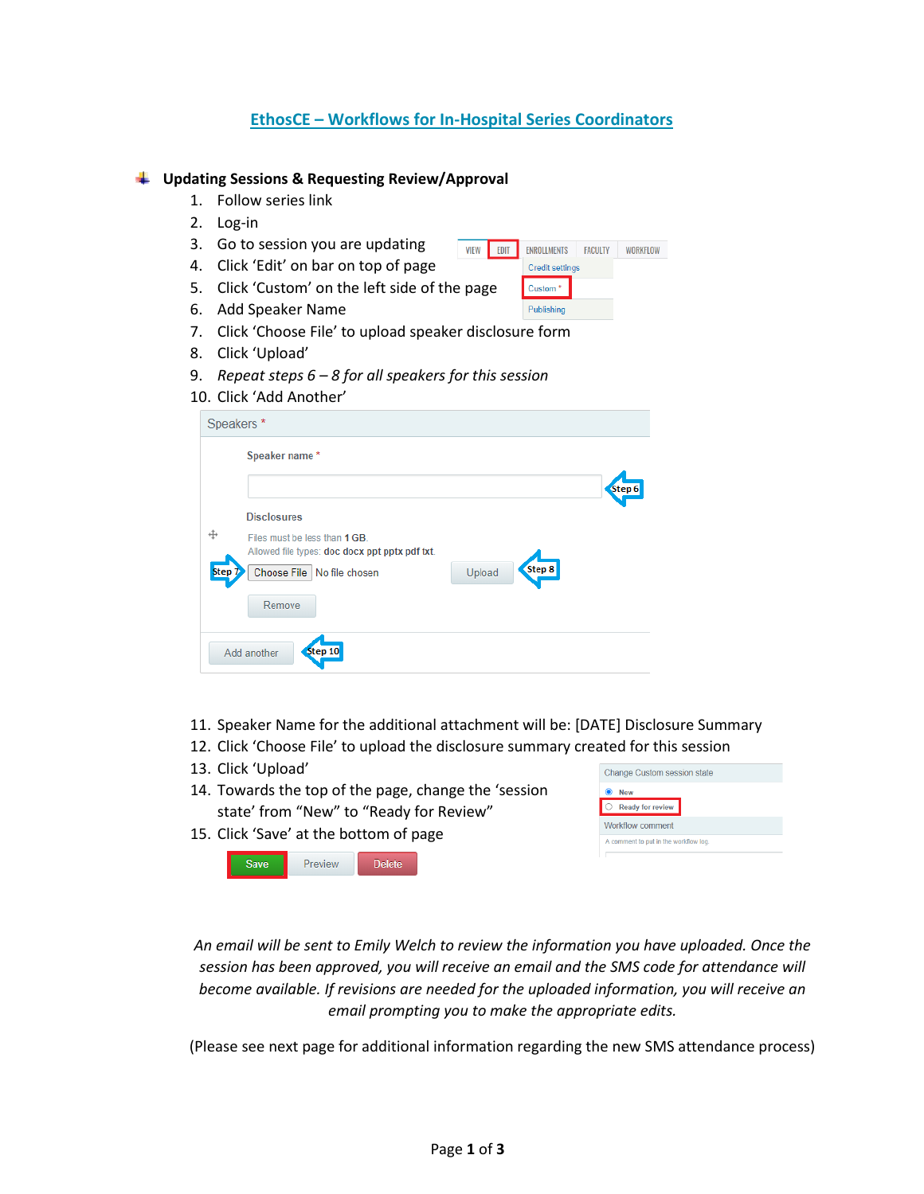# **EthosCE – Workflows for In-Hospital Series Coordinators**

Credit settings Custom<sup>\*</sup> Publishing

### **Updating Sessions & Requesting Review/Approval**

- 1. Follow series link
- 2. Log-in
- 3. Go to session you are updating VIEW EDIT ENROLLMENTS FACULTY WORKFLOW
- 4. Click 'Edit' on bar on top of page
- 5. Click 'Custom' on the left side of the page
- 6. Add Speaker Name
- 7. Click 'Choose File' to upload speaker disclosure form
- 8. Click 'Upload'
- 9. *Repeat steps 6 8 for all speakers for this session*

#### 10. Click 'Add Another'

|        |        | Step 6 |
|--------|--------|--------|
|        |        |        |
|        |        |        |
| Upload | Step 8 |        |
|        |        |        |
|        |        |        |
|        |        |        |

- 11. Speaker Name for the additional attachment will be: [DATE] Disclosure Summary
- 12. Click 'Choose File' to upload the disclosure summary created for this session
- 13. Click 'Upload'
- 14. Towards the top of the page, change the 'session state' from "New" to "Ready for Review"
- 15. Click 'Save' at the bottom of page



| <b>New</b>                            |
|---------------------------------------|
| <b>Ready for review</b>               |
| Workflow comment                      |
| A comment to put in the workflow log. |

*An email will be sent to Emily Welch to review the information you have uploaded. Once the session has been approved, you will receive an email and the SMS code for attendance will become available. If revisions are needed for the uploaded information, you will receive an email prompting you to make the appropriate edits.*

(Please see next page for additional information regarding the new SMS attendance process)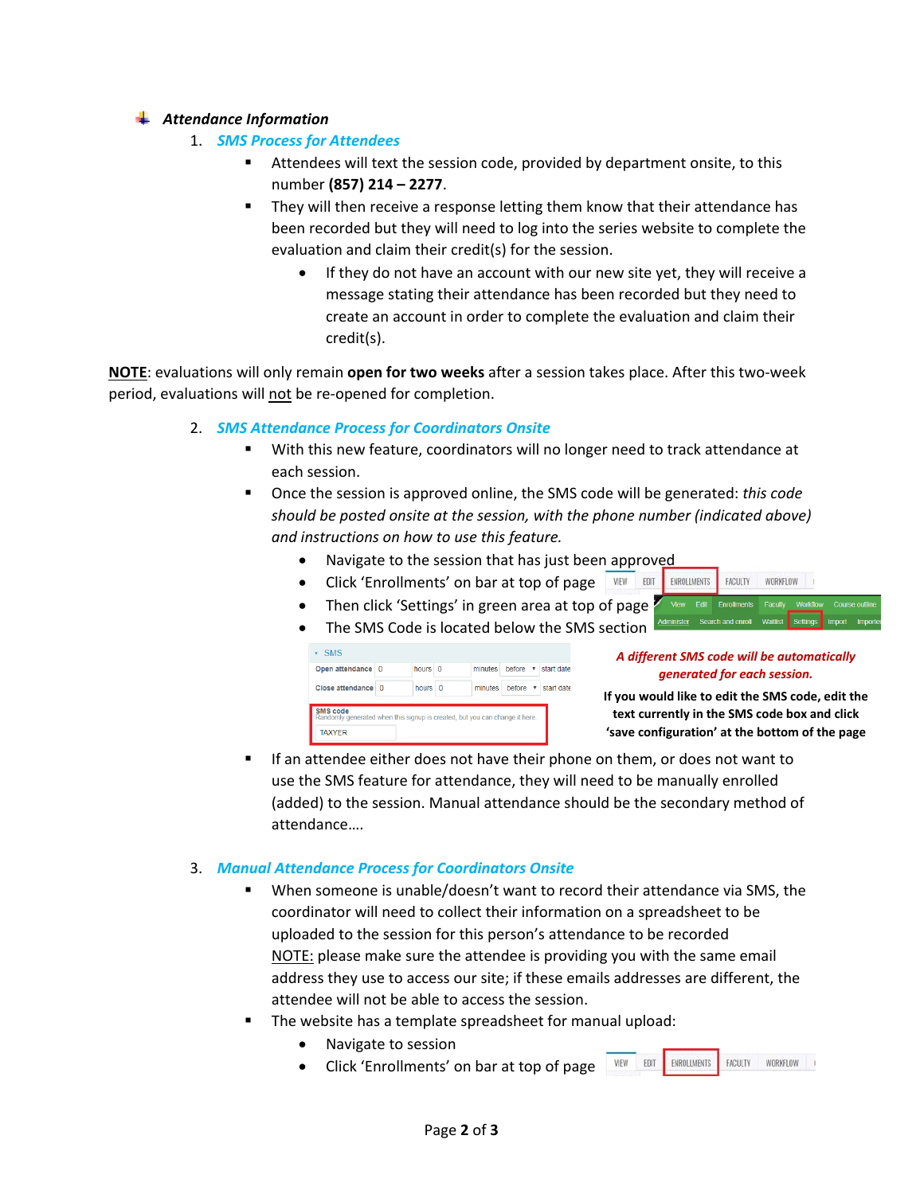## *Attendance Information*

- 1. *SMS Process for Attendees*
	- Attendees will text the session code, provided by department onsite, to this number **(857) 214 – 2277**.
	- They will then receive a response letting them know that their attendance has been recorded but they will need to log into the series website to complete the evaluation and claim their credit(s) for the session.
		- If they do not have an account with our new site yet, they will receive a message stating their attendance has been recorded but they need to create an account in order to complete the evaluation and claim their credit(s).

**NOTE**: evaluations will only remain **open for two weeks** after a session takes place. After this two-week period, evaluations will not be re-opened for completion.

## 2. *SMS Attendance Process for Coordinators Onsite*

- With this new feature, coordinators will no longer need to track attendance at each session.
- Once the session is approved online, the SMS code will be generated: *this code should be posted onsite at the session, with the phone number (indicated above) and instructions on how to use this feature.*
	- Navigate to the session that has just been approved
	- Click 'Enrollments' on bar at top of page WEW EDIT ENROLLMENTS FACULTY
	- Then click 'Settings' in green area at top of page
	- The SMS Code is located below the SMS section

|                                               |                     | before v start date |
|-----------------------------------------------|---------------------|---------------------|
| Close attendance<br>hours 0<br>minutes<br>- 0 | before v start date |                     |

#### *A different SMS code will be automatically generated for each session.*

WORKFLOW II

**If you would like to edit the SMS code, edit the text currently in the SMS code box and click 'save configuration' at the bottom of the page**

FACULTY WORKFLOW I

 If an attendee either does not have their phone on them, or does not want to use the SMS feature for attendance, they will need to be manually enrolled (added) to the session. Manual attendance should be the secondary method of attendance….

#### 3. *Manual Attendance Process for Coordinators Onsite*

- When someone is unable/doesn't want to record their attendance via SMS, the coordinator will need to collect their information on a spreadsheet to be uploaded to the session for this person's attendance to be recorded NOTE: please make sure the attendee is providing you with the same email address they use to access our site; if these emails addresses are different, the attendee will not be able to access the session.
- The website has a template spreadsheet for manual upload:
	- Navigate to session
	- VIEW EDIT ENROLLMENTS • Click 'Enrollments' on bar at top of page